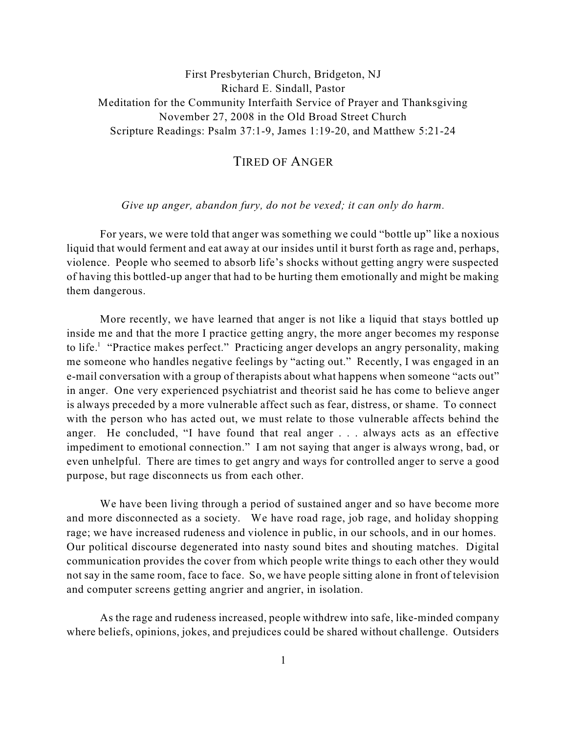## First Presbyterian Church, Bridgeton, NJ Richard E. Sindall, Pastor Meditation for the Community Interfaith Service of Prayer and Thanksgiving November 27, 2008 in the Old Broad Street Church Scripture Readings: Psalm 37:1-9, James 1:19-20, and Matthew 5:21-24

## TIRED OF ANGER

## *Give up anger, abandon fury, do not be vexed; it can only do harm.*

For years, we were told that anger was something we could "bottle up" like a noxious liquid that would ferment and eat away at our insides until it burst forth as rage and, perhaps, violence. People who seemed to absorb life's shocks without getting angry were suspected of having this bottled-up anger that had to be hurting them emotionally and might be making them dangerous.

More recently, we have learned that anger is not like a liquid that stays bottled up inside me and that the more I practice getting angry, the more anger becomes my response to life.<sup>1</sup> "Practice makes perfect." Practicing anger develops an angry personality, making me someone who handles negative feelings by "acting out." Recently, I was engaged in an e-mail conversation with a group of therapists about what happens when someone "acts out" in anger. One very experienced psychiatrist and theorist said he has come to believe anger is always preceded by a more vulnerable affect such as fear, distress, or shame. To connect with the person who has acted out, we must relate to those vulnerable affects behind the anger. He concluded, "I have found that real anger . . . always acts as an effective impediment to emotional connection." I am not saying that anger is always wrong, bad, or even unhelpful. There are times to get angry and ways for controlled anger to serve a good purpose, but rage disconnects us from each other.

We have been living through a period of sustained anger and so have become more and more disconnected as a society. We have road rage, job rage, and holiday shopping rage; we have increased rudeness and violence in public, in our schools, and in our homes. Our political discourse degenerated into nasty sound bites and shouting matches. Digital communication provides the cover from which people write things to each other they would not say in the same room, face to face. So, we have people sitting alone in front of television and computer screens getting angrier and angrier, in isolation.

As the rage and rudeness increased, people withdrew into safe, like-minded company where beliefs, opinions, jokes, and prejudices could be shared without challenge. Outsiders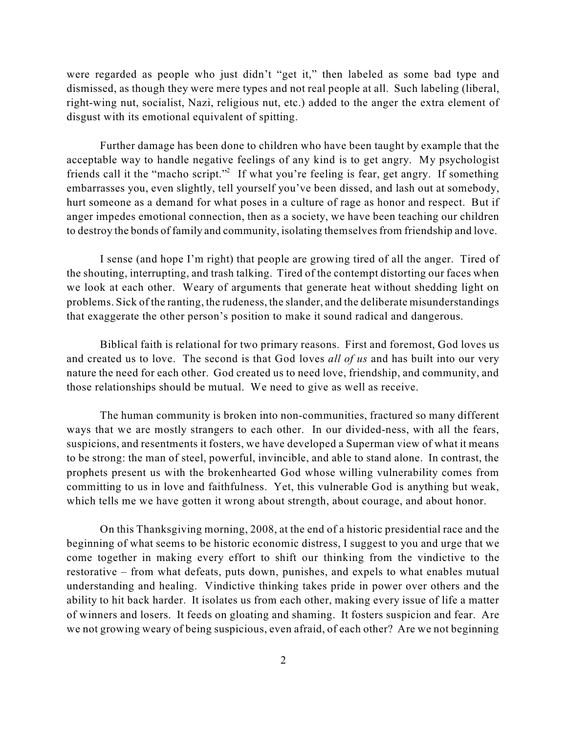were regarded as people who just didn't "get it," then labeled as some bad type and dismissed, as though they were mere types and not real people at all. Such labeling (liberal, right-wing nut, socialist, Nazi, religious nut, etc.) added to the anger the extra element of disgust with its emotional equivalent of spitting.

Further damage has been done to children who have been taught by example that the acceptable way to handle negative feelings of any kind is to get angry. My psychologist friends call it the "macho script."<sup>2</sup> If what you're feeling is fear, get angry. If something embarrasses you, even slightly, tell yourself you've been dissed, and lash out at somebody, hurt someone as a demand for what poses in a culture of rage as honor and respect. But if anger impedes emotional connection, then as a society, we have been teaching our children to destroy the bonds of family and community, isolating themselves from friendship and love.

I sense (and hope I'm right) that people are growing tired of all the anger. Tired of the shouting, interrupting, and trash talking. Tired of the contempt distorting our faces when we look at each other. Weary of arguments that generate heat without shedding light on problems. Sick of the ranting, the rudeness, the slander, and the deliberate misunderstandings that exaggerate the other person's position to make it sound radical and dangerous.

Biblical faith is relational for two primary reasons. First and foremost, God loves us and created us to love. The second is that God loves *all of us* and has built into our very nature the need for each other. God created us to need love, friendship, and community, and those relationships should be mutual. We need to give as well as receive.

The human community is broken into non-communities, fractured so many different ways that we are mostly strangers to each other. In our divided-ness, with all the fears, suspicions, and resentments it fosters, we have developed a Superman view of what it means to be strong: the man of steel, powerful, invincible, and able to stand alone. In contrast, the prophets present us with the brokenhearted God whose willing vulnerability comes from committing to us in love and faithfulness. Yet, this vulnerable God is anything but weak, which tells me we have gotten it wrong about strength, about courage, and about honor.

On this Thanksgiving morning, 2008, at the end of a historic presidential race and the beginning of what seems to be historic economic distress, I suggest to you and urge that we come together in making every effort to shift our thinking from the vindictive to the restorative – from what defeats, puts down, punishes, and expels to what enables mutual understanding and healing. Vindictive thinking takes pride in power over others and the ability to hit back harder. It isolates us from each other, making every issue of life a matter of winners and losers. It feeds on gloating and shaming. It fosters suspicion and fear. Are we not growing weary of being suspicious, even afraid, of each other? Are we not beginning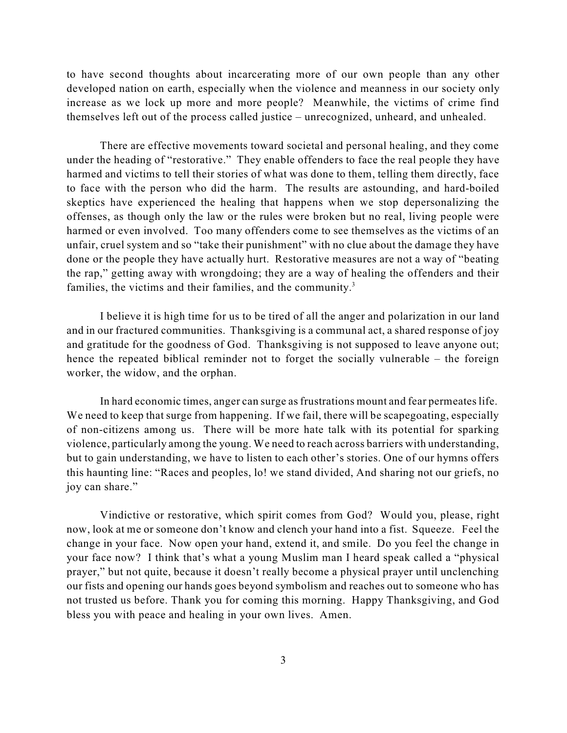to have second thoughts about incarcerating more of our own people than any other developed nation on earth, especially when the violence and meanness in our society only increase as we lock up more and more people? Meanwhile, the victims of crime find themselves left out of the process called justice – unrecognized, unheard, and unhealed.

There are effective movements toward societal and personal healing, and they come under the heading of "restorative." They enable offenders to face the real people they have harmed and victims to tell their stories of what was done to them, telling them directly, face to face with the person who did the harm. The results are astounding, and hard-boiled skeptics have experienced the healing that happens when we stop depersonalizing the offenses, as though only the law or the rules were broken but no real, living people were harmed or even involved. Too many offenders come to see themselves as the victims of an unfair, cruel system and so "take their punishment" with no clue about the damage they have done or the people they have actually hurt. Restorative measures are not a way of "beating the rap," getting away with wrongdoing; they are a way of healing the offenders and their families, the victims and their families, and the community.<sup>3</sup>

I believe it is high time for us to be tired of all the anger and polarization in our land and in our fractured communities. Thanksgiving is a communal act, a shared response of joy and gratitude for the goodness of God. Thanksgiving is not supposed to leave anyone out; hence the repeated biblical reminder not to forget the socially vulnerable – the foreign worker, the widow, and the orphan.

In hard economic times, anger can surge as frustrations mount and fear permeates life. We need to keep that surge from happening. If we fail, there will be scapegoating, especially of non-citizens among us. There will be more hate talk with its potential for sparking violence, particularly among the young. We need to reach across barriers with understanding, but to gain understanding, we have to listen to each other's stories. One of our hymns offers this haunting line: "Races and peoples, lo! we stand divided, And sharing not our griefs, no joy can share."

Vindictive or restorative, which spirit comes from God? Would you, please, right now, look at me or someone don't know and clench your hand into a fist. Squeeze. Feel the change in your face. Now open your hand, extend it, and smile. Do you feel the change in your face now? I think that's what a young Muslim man I heard speak called a "physical prayer," but not quite, because it doesn't really become a physical prayer until unclenching our fists and opening our hands goes beyond symbolism and reaches out to someone who has not trusted us before. Thank you for coming this morning. Happy Thanksgiving, and God bless you with peace and healing in your own lives. Amen.